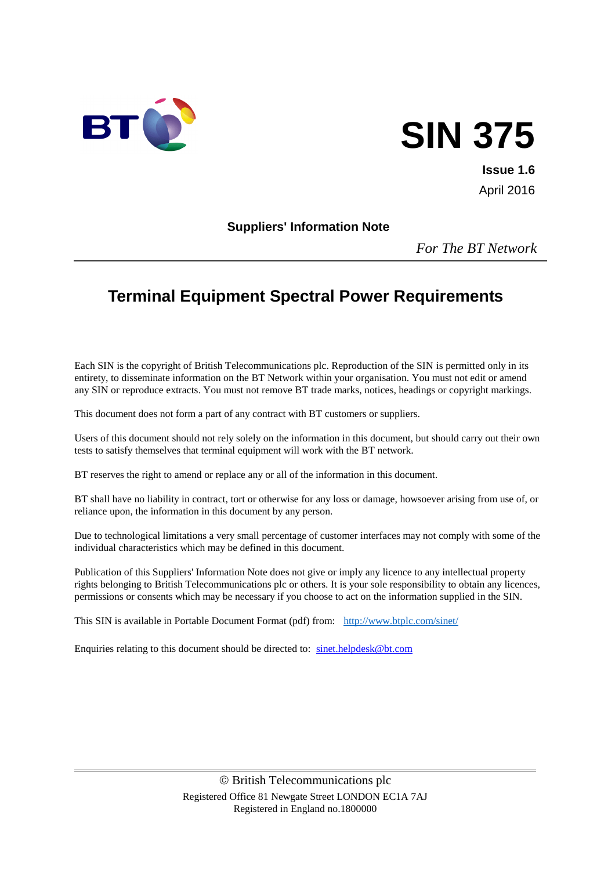

# **SIN 375**

**Issue 1.6** April 2016

#### **Suppliers' Information Note**

*For The BT Network*

# **Terminal Equipment Spectral Power Requirements**

Each SIN is the copyright of British Telecommunications plc. Reproduction of the SIN is permitted only in its entirety, to disseminate information on the BT Network within your organisation. You must not edit or amend any SIN or reproduce extracts. You must not remove BT trade marks, notices, headings or copyright markings.

This document does not form a part of any contract with BT customers or suppliers.

Users of this document should not rely solely on the information in this document, but should carry out their own tests to satisfy themselves that terminal equipment will work with the BT network.

BT reserves the right to amend or replace any or all of the information in this document.

BT shall have no liability in contract, tort or otherwise for any loss or damage, howsoever arising from use of, or reliance upon, the information in this document by any person.

Due to technological limitations a very small percentage of customer interfaces may not comply with some of the individual characteristics which may be defined in this document.

Publication of this Suppliers' Information Note does not give or imply any licence to any intellectual property rights belonging to British Telecommunications plc or others. It is your sole responsibility to obtain any licences, permissions or consents which may be necessary if you choose to act on the information supplied in the SIN.

This SIN is available in Portable Document Format (pdf) from: <http://www.btplc.com/sinet/>

Enquiries relating to this document should be directed to: [sinet.helpdesk@bt.com](mailto:sinet.helpdesk@bt.com)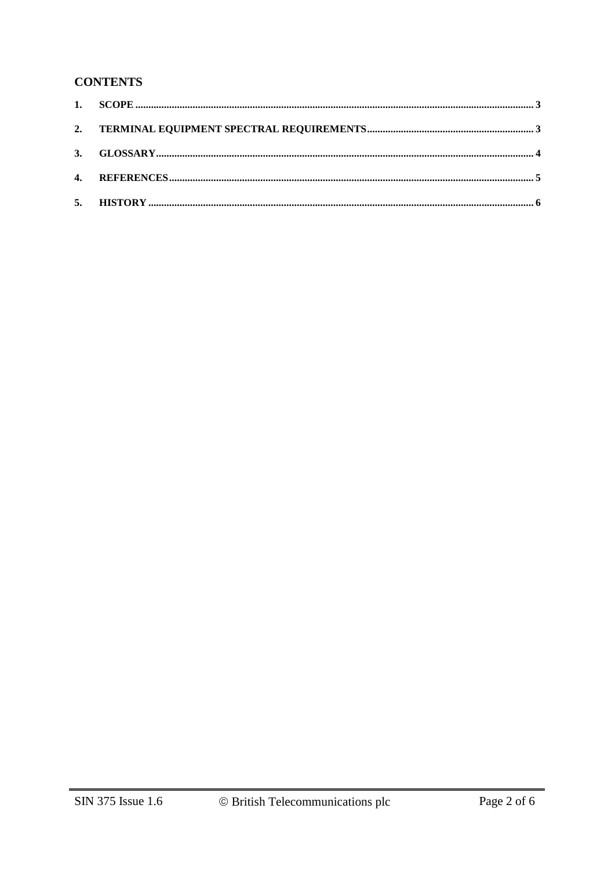## **CONTENTS**

| 5. |  |
|----|--|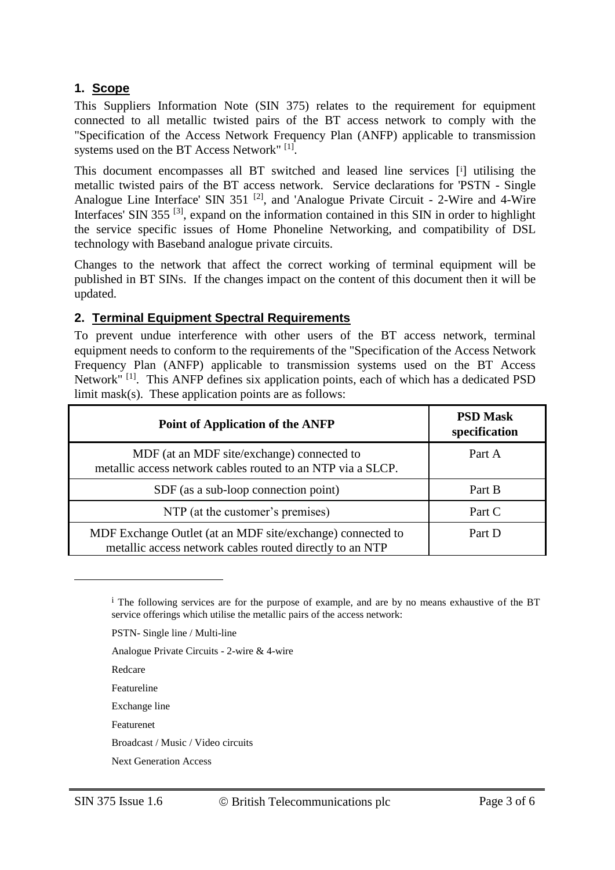# **1. Scope**

This Suppliers Information Note (SIN 375) relates to the requirement for equipment connected to all metallic twisted pairs of the BT access network to comply with the "Specification of the Access Network Frequency Plan (ANFP) applicable to transmission systems used on the BT Access Network"<sup>[1]</sup>.

This document encompasses all BT switched and leased line services [<sup>i</sup> ] utilising the metallic twisted pairs of the BT access network. Service declarations for 'PSTN - Single Analogue Line Interface' SIN 351<sup>[2]</sup>, and 'Analogue Private Circuit - 2-Wire and 4-Wire Interfaces' SIN 355<sup>[3]</sup>, expand on the information contained in this SIN in order to highlight the service specific issues of Home Phoneline Networking, and compatibility of DSL technology with Baseband analogue private circuits.

Changes to the network that affect the correct working of terminal equipment will be published in BT SINs. If the changes impact on the content of this document then it will be updated.

#### **2. Terminal Equipment Spectral Requirements**

To prevent undue interference with other users of the BT access network, terminal equipment needs to conform to the requirements of the "Specification of the Access Network Frequency Plan (ANFP) applicable to transmission systems used on the BT Access Network"<sup>[1]</sup>. This ANFP defines six application points, each of which has a dedicated PSD limit mask(s). These application points are as follows:

| Point of Application of the ANFP                                                                                       | <b>PSD Mask</b><br>specification |
|------------------------------------------------------------------------------------------------------------------------|----------------------------------|
| MDF (at an MDF site/exchange) connected to<br>metallic access network cables routed to an NTP via a SLCP.              | Part A                           |
| SDF (as a sub-loop connection point)                                                                                   | Part B                           |
| NTP (at the customer's premises)                                                                                       | Part C                           |
| MDF Exchange Outlet (at an MDF site/exchange) connected to<br>metallic access network cables routed directly to an NTP | Part D                           |

i The following services are for the purpose of example, and are by no means exhaustive of the BT service offerings which utilise the metallic pairs of the access network:

PSTN- Single line / Multi-line

Analogue Private Circuits - 2-wire & 4-wire

Redcare

 $\overline{a}$ 

Featureline

Exchange line

Featurenet

Broadcast / Music / Video circuits

Next Generation Access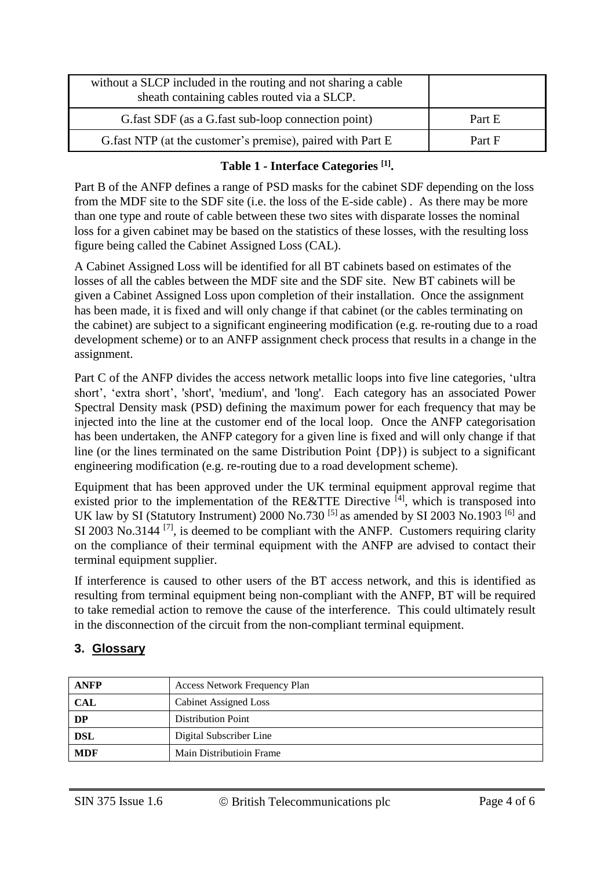| without a SLCP included in the routing and not sharing a cable<br>sheath containing cables routed via a SLCP. |        |
|---------------------------------------------------------------------------------------------------------------|--------|
| G. fast SDF (as a G. fast sub-loop connection point)                                                          | Part E |
| G.fast NTP (at the customer's premise), paired with Part E                                                    | Part F |

## **Table 1 - Interface Categories [1] .**

Part B of the ANFP defines a range of PSD masks for the cabinet SDF depending on the loss from the MDF site to the SDF site (i.e. the loss of the E-side cable) . As there may be more than one type and route of cable between these two sites with disparate losses the nominal loss for a given cabinet may be based on the statistics of these losses, with the resulting loss figure being called the Cabinet Assigned Loss (CAL).

A Cabinet Assigned Loss will be identified for all BT cabinets based on estimates of the losses of all the cables between the MDF site and the SDF site. New BT cabinets will be given a Cabinet Assigned Loss upon completion of their installation. Once the assignment has been made, it is fixed and will only change if that cabinet (or the cables terminating on the cabinet) are subject to a significant engineering modification (e.g. re-routing due to a road development scheme) or to an ANFP assignment check process that results in a change in the assignment.

Part C of the ANFP divides the access network metallic loops into five line categories, 'ultra short', 'extra short', 'short', 'medium', and 'long'. Each category has an associated Power Spectral Density mask (PSD) defining the maximum power for each frequency that may be injected into the line at the customer end of the local loop. Once the ANFP categorisation has been undertaken, the ANFP category for a given line is fixed and will only change if that line (or the lines terminated on the same Distribution Point {DP}) is subject to a significant engineering modification (e.g. re-routing due to a road development scheme).

Equipment that has been approved under the UK terminal equipment approval regime that existed prior to the implementation of the RE&TTE Directive  $^{[4]}$ , which is transposed into UK law by SI (Statutory Instrument) 2000 No.730<sup>[5]</sup> as amended by SI 2003 No.1903<sup>[6]</sup> and SI 2003 No.3144  $^{[7]}$ , is deemed to be compliant with the ANFP. Customers requiring clarity on the compliance of their terminal equipment with the ANFP are advised to contact their terminal equipment supplier.

If interference is caused to other users of the BT access network, and this is identified as resulting from terminal equipment being non-compliant with the ANFP, BT will be required to take remedial action to remove the cause of the interference. This could ultimately result in the disconnection of the circuit from the non-compliant terminal equipment.

# **3. Glossary**

| <b>ANFP</b> | <b>Access Network Frequency Plan</b> |  |
|-------------|--------------------------------------|--|
| <b>CAL</b>  | Cabinet Assigned Loss                |  |
| DP          | <b>Distribution Point</b>            |  |
| DSL         | Digital Subscriber Line              |  |
| <b>MDF</b>  | Main Distributioin Frame             |  |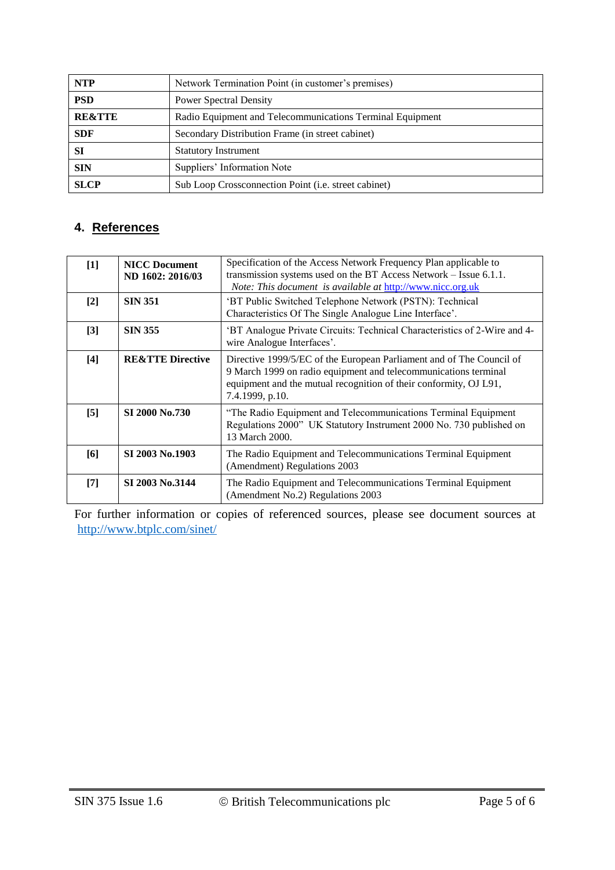| <b>NTP</b>        | Network Termination Point (in customer's premises)           |  |
|-------------------|--------------------------------------------------------------|--|
| <b>PSD</b>        | <b>Power Spectral Density</b>                                |  |
| <b>RE&amp;TTE</b> | Radio Equipment and Telecommunications Terminal Equipment    |  |
| <b>SDF</b>        | Secondary Distribution Frame (in street cabinet)             |  |
| <b>SI</b>         | <b>Statutory Instrument</b>                                  |  |
| <b>SIN</b>        | Suppliers' Information Note                                  |  |
| <b>SLCP</b>       | Sub Loop Crossconnection Point ( <i>i.e.</i> street cabinet) |  |

# **4. References**

| $[1]$             | <b>NICC Document</b><br>ND 1602: 2016/03 | Specification of the Access Network Frequency Plan applicable to<br>transmission systems used on the BT Access Network – Issue 6.1.1.<br>Note: This document is available at http://www.nicc.org.uk                             |
|-------------------|------------------------------------------|---------------------------------------------------------------------------------------------------------------------------------------------------------------------------------------------------------------------------------|
| $[2]$             | <b>SIN 351</b>                           | 'BT Public Switched Telephone Network (PSTN): Technical<br>Characteristics Of The Single Analogue Line Interface'.                                                                                                              |
| $[3]$             | <b>SIN 355</b>                           | 'BT Analogue Private Circuits: Technical Characteristics of 2-Wire and 4-<br>wire Analogue Interfaces'.                                                                                                                         |
| $[4]$             | <b>RE&amp;TTE Directive</b>              | Directive 1999/5/EC of the European Parliament and of The Council of<br>9 March 1999 on radio equipment and telecommunications terminal<br>equipment and the mutual recognition of their conformity, OJ L91,<br>7.4.1999, p.10. |
| $\lceil 5 \rceil$ | SI 2000 No.730                           | "The Radio Equipment and Telecommunications Terminal Equipment<br>Regulations 2000" UK Statutory Instrument 2000 No. 730 published on<br>13 March 2000.                                                                         |
| [6]               | SI 2003 No.1903                          | The Radio Equipment and Telecommunications Terminal Equipment<br>(Amendment) Regulations 2003                                                                                                                                   |
| $[7]$             | SI 2003 No.3144                          | The Radio Equipment and Telecommunications Terminal Equipment<br>(Amendment No.2) Regulations 2003                                                                                                                              |

For further information or copies of referenced sources, please see document sources at <http://www.btplc.com/sinet/>